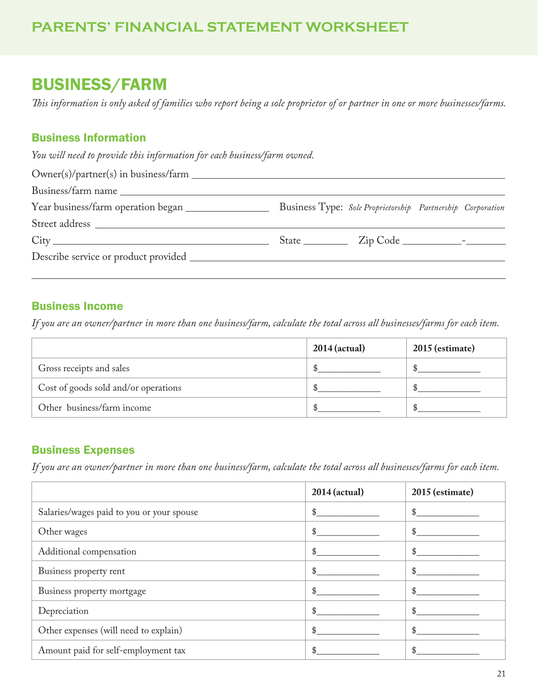## BUSINESS/FARM

*This information is only asked of families who report being a sole proprietor of or partner in one or more businesses/farms.* 

## Business Information

*You will need to provide this information for each business/farm owned.*

|  | Business Type: Sole Proprietorship Partnership Corporation |
|--|------------------------------------------------------------|
|  |                                                            |
|  |                                                            |
|  |                                                            |
|  |                                                            |

## Business Income

*If you are an owner/partner in more than one business/farm, calculate the total across all businesses/farms for each item.*

|                                      | $2014$ (actual) | 2015 (estimate) |
|--------------------------------------|-----------------|-----------------|
| Gross receipts and sales             |                 |                 |
| Cost of goods sold and/or operations |                 |                 |
| Other business/farm income           |                 |                 |

### Business Expenses

*If you are an owner/partner in more than one business/farm, calculate the total across all businesses/farms for each item.*

|                                           | 2014 (actual) | 2015 (estimate) |
|-------------------------------------------|---------------|-----------------|
| Salaries/wages paid to you or your spouse | \$            | \$              |
| Other wages                               | \$            | \$              |
| Additional compensation                   | \$            | \$              |
| Business property rent                    | \$            | \$              |
| Business property mortgage                | \$            | \$              |
| Depreciation                              | \$            | \$              |
| Other expenses (will need to explain)     |               | \$              |
| Amount paid for self-employment tax       |               |                 |